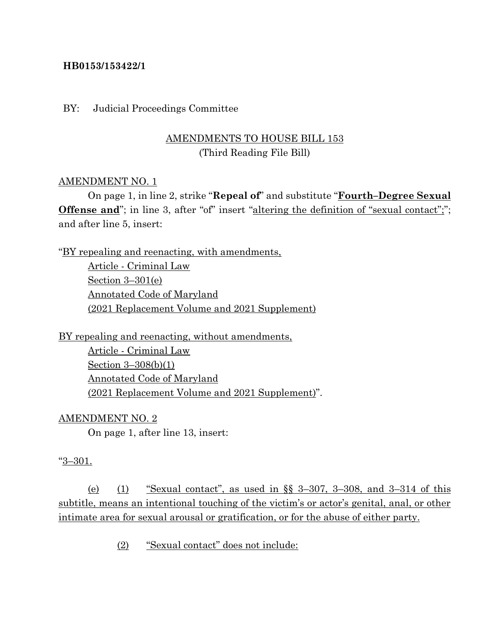### **HB0153/153422/1**

#### BY: Judicial Proceedings Committee

## AMENDMENTS TO HOUSE BILL 153 (Third Reading File Bill)

#### AMENDMENT NO. 1

On page 1, in line 2, strike "**Repeal of**" and substitute "**Fourth–Degree Sexual Offense and**"; in line 3, after "of" insert "altering the definition of "sexual contact";"; and after line 5, insert:

"BY repealing and reenacting, with amendments, Article - Criminal Law

Section 3–301(e) Annotated Code of Maryland (2021 Replacement Volume and 2021 Supplement)

BY repealing and reenacting, without amendments,

Article - Criminal Law Section 3–308(b)(1) Annotated Code of Maryland (2021 Replacement Volume and 2021 Supplement)".

AMENDMENT NO. 2

On page 1, after line 13, insert:

#### "3–301.

(e) (1) "Sexual contact", as used in  $\S$  3-307, 3-308, and 3-314 of this subtitle, means an intentional touching of the victim's or actor's genital, anal, or other intimate area for sexual arousal or gratification, or for the abuse of either party.

(2) "Sexual contact" does not include: